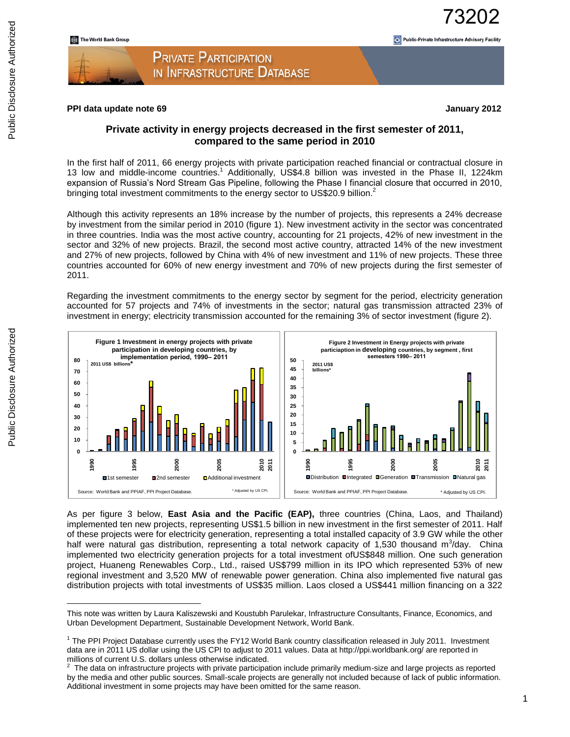#### **PPI data update note 69 January 2012**

73202

Public-Private Infrastructure Advisory Facility

### **Private activity in energy projects decreased in the first semester of 2011, compared to the same period in 2010**

In the first half of 2011, 66 energy projects with private participation reached financial or contractual closure in 13 low and middle-income countries.<sup>1</sup> Additionally, US\$4.8 billion was invested in the Phase II, 1224km expansion of Russia's Nord Stream Gas Pipeline, following the Phase I financial closure that occurred in 2010, bringing total investment commitments to the energy sector to US\$20.9 billion.<sup>2</sup>

Although this activity represents an 18% increase by the number of projects, this represents a 24% decrease by investment from the similar period in 2010 (figure 1). New investment activity in the sector was concentrated in three countries. India was the most active country, accounting for 21 projects, 42% of new investment in the sector and 32% of new projects. Brazil, the second most active country, attracted 14% of the new investment and 27% of new projects, followed by China with 4% of new investment and 11% of new projects. These three countries accounted for 60% of new energy investment and 70% of new projects during the first semester of 2011.

Regarding the investment commitments to the energy sector by segment for the period, electricity generation accounted for 57 projects and 74% of investments in the sector; natural gas transmission attracted 23% of investment in energy; electricity transmission accounted for the remaining 3% of sector investment (figure 2).



As per figure 3 below, **East Asia and the Pacific (EAP),** three countries (China, Laos, and Thailand) implemented ten new projects, representing US\$1.5 billion in new investment in the first semester of 2011. Half of these projects were for electricity generation, representing a total installed capacity of 3.9 GW while the other half were natural gas distribution, representing a total network capacity of 1,530 thousand m<sup>3</sup>/day. China implemented two electricity generation projects for a total investment ofUS\$848 million. One such generation project, Huaneng Renewables Corp., Ltd., raised US\$799 million in its IPO which represented 53% of new regional investment and 3,520 MW of renewable power generation. China also implemented five natural gas distribution projects with total investments of US\$35 million. Laos closed a US\$441 million financing on a 322

 $\overline{a}$ 

This note was written by Laura Kaliszewski and Koustubh Parulekar, Infrastructure Consultants, Finance, Economics, and Urban Development Department, Sustainable Development Network, World Bank.

<sup>&</sup>lt;sup>1</sup> The PPI Project Database currently uses the FY12 World Bank country classification released in July 2011. Investment data are in 2011 US dollar using the US CPI to adjust to 2011 values. Data at http://ppi.worldbank.org/ are reported in millions of current U.S. dollars unless otherwise indicated.

 $2$  The data on infrastructure projects with private participation include primarily medium-size and large projects as reported by the media and other public sources. Small-scale projects are generally not included because of lack of public information. Additional investment in some projects may have been omitted for the same reason.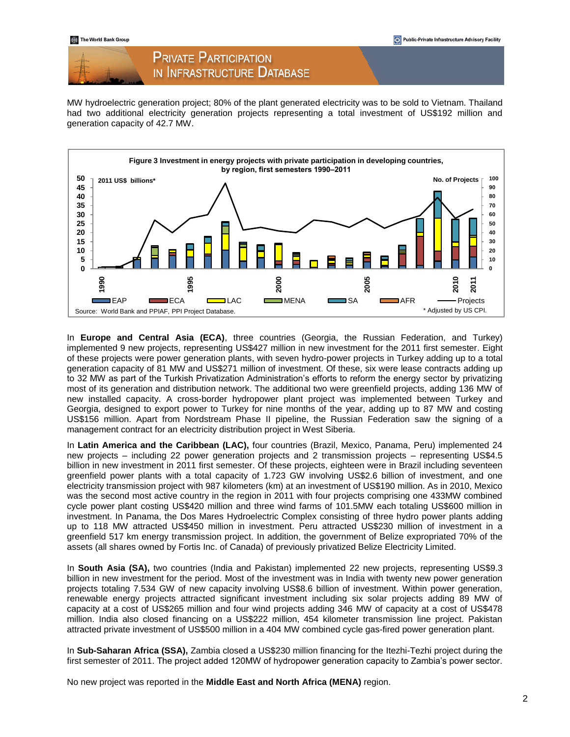### **PRIVATE PARTICIPATION** IN INFRASTRUCTURE DATABASE

MW hydroelectric generation project; 80% of the plant generated electricity was to be sold to Vietnam. Thailand had two additional electricity generation projects representing a total investment of US\$192 million and generation capacity of 42.7 MW.



In **Europe and Central Asia (ECA)**, three countries (Georgia, the Russian Federation, and Turkey) implemented 9 new projects, representing US\$427 million in new investment for the 2011 first semester. Eight of these projects were power generation plants, with seven hydro-power projects in Turkey adding up to a total generation capacity of 81 MW and US\$271 million of investment. Of these, six were lease contracts adding up to 32 MW as part of the Turkish Privatization Administration's efforts to reform the energy sector by privatizing most of its generation and distribution network. The additional two were greenfield projects, adding 136 MW of new installed capacity. A cross-border hydropower plant project was implemented between Turkey and Georgia, designed to export power to Turkey for nine months of the year, adding up to 87 MW and costing US\$156 million. Apart from Nordstream Phase II pipeline, the Russian Federation saw the signing of a management contract for an electricity distribution project in West Siberia.

In **Latin America and the Caribbean (LAC),** four countries (Brazil, Mexico, Panama, Peru) implemented 24 new projects – including 22 power generation projects and 2 transmission projects – representing US\$4.5 billion in new investment in 2011 first semester. Of these projects, eighteen were in Brazil including seventeen greenfield power plants with a total capacity of 1.723 GW involving US\$2.6 billion of investment, and one electricity transmission project with 987 kilometers (km) at an investment of US\$190 million. As in 2010, Mexico was the second most active country in the region in 2011 with four projects comprising one 433MW combined cycle power plant costing US\$420 million and three wind farms of 101.5MW each totaling US\$600 million in investment. In Panama, the Dos Mares Hydroelectric Complex consisting of three hydro power plants adding up to 118 MW attracted US\$450 million in investment. Peru attracted US\$230 million of investment in a greenfield 517 km energy transmission project. In addition, the government of Belize expropriated 70% of the assets (all shares owned by Fortis Inc. of Canada) of previously privatized Belize Electricity Limited.

In **South Asia (SA),** two countries (India and Pakistan) implemented 22 new projects, representing US\$9.3 billion in new investment for the period. Most of the investment was in India with twenty new power generation projects totaling 7.534 GW of new capacity involving US\$8.6 billion of investment. Within power generation, renewable energy projects attracted significant investment including six solar projects adding 89 MW of capacity at a cost of US\$265 million and four wind projects adding 346 MW of capacity at a cost of US\$478 million. India also closed financing on a US\$222 million, 454 kilometer transmission line project. Pakistan attracted private investment of US\$500 million in a 404 MW combined cycle gas-fired power generation plant.

In **Sub-Saharan Africa (SSA),** Zambia closed a US\$230 million financing for the Itezhi-Tezhi project during the first semester of 2011. The project added 120MW of hydropower generation capacity to Zambia's power sector.

No new project was reported in the **Middle East and North Africa (MENA)** region.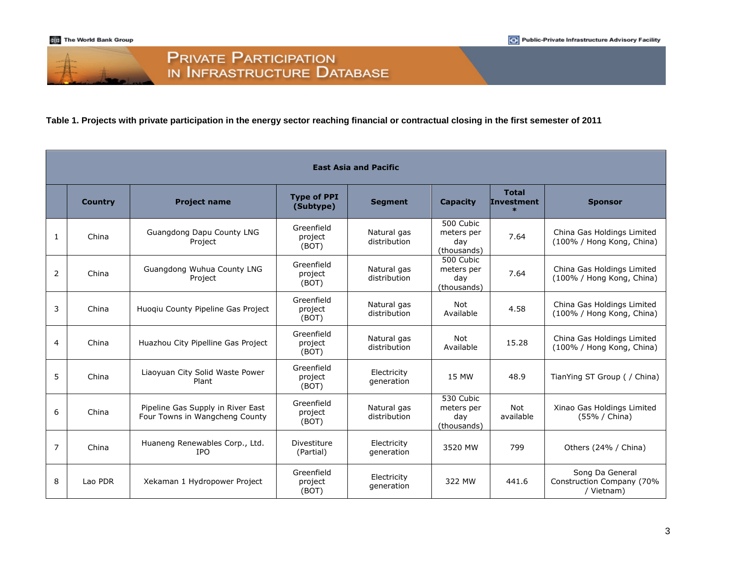

#### **Table 1. Projects with private participation in the energy sector reaching financial or contractual closing in the first semester of 2011**

|                | <b>East Asia and Pacific</b> |                                                                     |                                 |                             |                                               |                                             |                                                            |  |
|----------------|------------------------------|---------------------------------------------------------------------|---------------------------------|-----------------------------|-----------------------------------------------|---------------------------------------------|------------------------------------------------------------|--|
|                | <b>Country</b>               | <b>Project name</b>                                                 | <b>Type of PPI</b><br>(Subtype) | <b>Segment</b>              | <b>Capacity</b>                               | <b>Total</b><br><b>Investment</b><br>$\ast$ | <b>Sponsor</b>                                             |  |
| 1              | China                        | Guangdong Dapu County LNG<br>Project                                | Greenfield<br>project<br>(BOT)  | Natural gas<br>distribution | 500 Cubic<br>meters per<br>day<br>(thousands) | 7.64                                        | China Gas Holdings Limited<br>(100% / Hong Kong, China)    |  |
| 2              | China                        | Guangdong Wuhua County LNG<br>Project                               | Greenfield<br>project<br>(BOT)  | Natural gas<br>distribution | 500 Cubic<br>meters per<br>day<br>(thousands) | 7.64                                        | China Gas Holdings Limited<br>(100% / Hong Kong, China)    |  |
| 3              | China                        | Huogiu County Pipeline Gas Project                                  | Greenfield<br>project<br>(BOT)  | Natural gas<br>distribution | Not<br>Available                              | 4.58                                        | China Gas Holdings Limited<br>(100% / Hong Kong, China)    |  |
| 4              | China                        | Huazhou City Pipelline Gas Project                                  | Greenfield<br>project<br>(BOT)  | Natural gas<br>distribution | Not<br>Available                              | 15.28                                       | China Gas Holdings Limited<br>(100% / Hong Kong, China)    |  |
| 5              | China                        | Liaoyuan City Solid Waste Power<br>Plant                            | Greenfield<br>project<br>(BOT)  | Electricity<br>generation   | 15 MW                                         | 48.9                                        | TianYing ST Group ( / China)                               |  |
| 6              | China                        | Pipeline Gas Supply in River East<br>Four Towns in Wangcheng County | Greenfield<br>project<br>(BOT)  | Natural gas<br>distribution | 530 Cubic<br>meters per<br>day<br>(thousands) | <b>Not</b><br>available                     | Xinao Gas Holdings Limited<br>(55% / China)                |  |
| $\overline{7}$ | China                        | Huaneng Renewables Corp., Ltd.<br><b>IPO</b>                        | Divestiture<br>(Partial)        | Electricity<br>generation   | 3520 MW                                       | 799                                         | Others (24% / China)                                       |  |
| 8              | Lao PDR                      | Xekaman 1 Hydropower Project                                        | Greenfield<br>project<br>(BOT)  | Electricity<br>generation   | 322 MW                                        | 441.6                                       | Song Da General<br>Construction Company (70%<br>/ Vietnam) |  |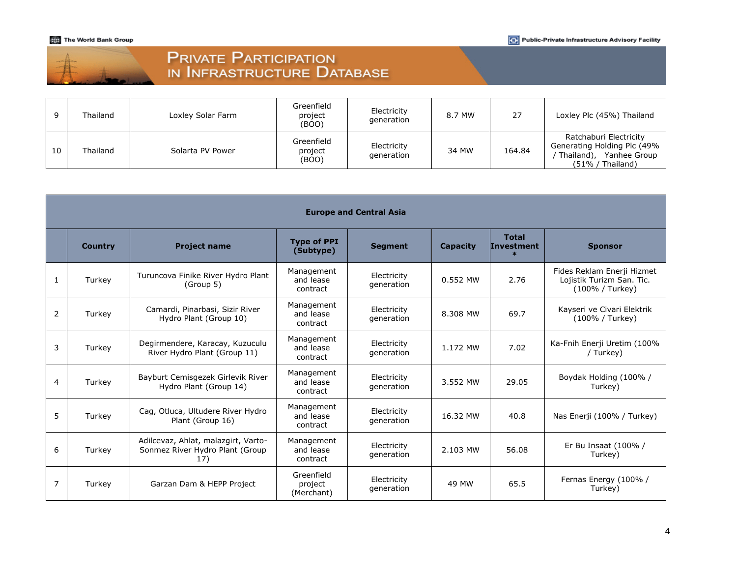The World Bank Group

| <b>PRIVATE PARTICIPATION</b> |  |
|------------------------------|--|
| IN INFRASTRUCTURE DATABASE   |  |

|    | Thailand | Loxley Solar Farm | Greenfield<br>project<br>(BOO) | Electricity<br>generation | 8.7 MW | 27     | Loxley Plc (45%) Thailand                                                                                  |
|----|----------|-------------------|--------------------------------|---------------------------|--------|--------|------------------------------------------------------------------------------------------------------------|
| 10 | Thailand | Solarta PV Power  | Greenfield<br>project<br>(BOO) | Electricity<br>generation | 34 MW  | 164.84 | Ratchaburi Electricity<br>Generating Holding Plc (49%<br>Yanhee Group<br>Thailand),<br>$(51\%$ / Thailand) |

|   | <b>Europe and Central Asia</b> |                                                                               |                                     |                           |                 |                                             |                                                                            |  |  |
|---|--------------------------------|-------------------------------------------------------------------------------|-------------------------------------|---------------------------|-----------------|---------------------------------------------|----------------------------------------------------------------------------|--|--|
|   | <b>Country</b>                 | <b>Project name</b>                                                           | <b>Type of PPI</b><br>(Subtype)     | <b>Segment</b>            | <b>Capacity</b> | <b>Total</b><br><b>Investment</b><br>$\ast$ | <b>Sponsor</b>                                                             |  |  |
| 1 | Turkey                         | Turuncova Finike River Hydro Plant<br>(Group 5)                               | Management<br>and lease<br>contract | Electricity<br>generation | 0.552 MW        | 2.76                                        | Fides Reklam Enerji Hizmet<br>Lojistik Turizm San. Tic.<br>(100% / Turkey) |  |  |
| 2 | Turkey                         | Camardi, Pinarbasi, Sizir River<br>Hydro Plant (Group 10)                     | Management<br>and lease<br>contract | Electricity<br>generation | 8.308 MW        | 69.7                                        | Kayseri ve Civari Elektrik<br>(100% / Turkey)                              |  |  |
| 3 | Turkey                         | Degirmendere, Karacay, Kuzuculu<br>River Hydro Plant (Group 11)               | Management<br>and lease<br>contract | Electricity<br>generation | 1.172 MW        | 7.02                                        | Ka-Fnih Enerji Uretim (100%<br>/ Turkey)                                   |  |  |
| 4 | Turkey                         | Bayburt Cemisgezek Girlevik River<br>Hydro Plant (Group 14)                   | Management<br>and lease<br>contract | Electricity<br>generation | 3.552 MW        | 29.05                                       | Boydak Holding (100% /<br>Turkey)                                          |  |  |
| 5 | Turkey                         | Cag, Otluca, Ultudere River Hydro<br>Plant (Group 16)                         | Management<br>and lease<br>contract | Electricity<br>generation | 16.32 MW        | 40.8                                        | Nas Enerji (100% / Turkey)                                                 |  |  |
| 6 | Turkey                         | Adilcevaz, Ahlat, malazgirt, Varto-<br>Sonmez River Hydro Plant (Group<br>17) | Management<br>and lease<br>contract | Electricity<br>generation | 2.103 MW        | 56.08                                       | Er Bu Insaat (100% /<br>Turkey)                                            |  |  |
| 7 | Turkey                         | Garzan Dam & HEPP Project                                                     | Greenfield<br>project<br>(Merchant) | Electricity<br>generation | 49 MW           | 65.5                                        | Fernas Energy (100% /<br>Turkey)                                           |  |  |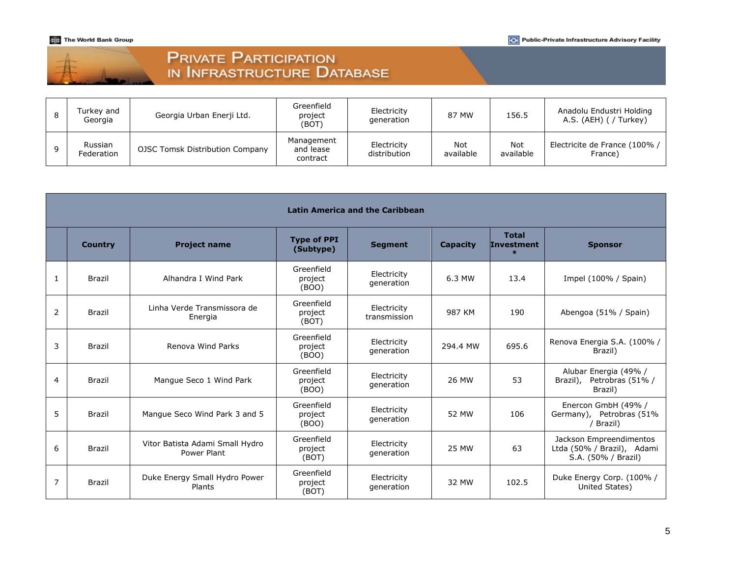The World Bank Group

| 丰 | <b>PRIVATE PARTICIPATION</b> |  |
|---|------------------------------|--|
|   | IN INFRASTRUCTURE DATABASE   |  |

| Turkey and<br>Georgia | Georgia Urban Enerji Ltd.       | Greenfield<br>project<br>(BOT)      | Electricity<br>generation   | 87 MW            | 156.5            | Anadolu Endustri Holding<br>A.S. (AEH) ( / Turkey) |
|-----------------------|---------------------------------|-------------------------------------|-----------------------------|------------------|------------------|----------------------------------------------------|
| Russian<br>Federation | OJSC Tomsk Distribution Company | Management<br>and lease<br>contract | Electricity<br>distribution | Not<br>available | Not<br>available | Electricite de France (100% /<br>France)           |

|   | <b>Latin America and the Caribbean</b> |                                                |                                 |                             |                 |                                             |                                                                              |  |  |
|---|----------------------------------------|------------------------------------------------|---------------------------------|-----------------------------|-----------------|---------------------------------------------|------------------------------------------------------------------------------|--|--|
|   | <b>Country</b>                         | <b>Project name</b>                            | <b>Type of PPI</b><br>(Subtype) | <b>Segment</b>              | <b>Capacity</b> | <b>Total</b><br><b>Investment</b><br>$\ast$ | <b>Sponsor</b>                                                               |  |  |
| 1 | <b>Brazil</b>                          | Alhandra I Wind Park                           | Greenfield<br>project<br>(BOO)  | Electricity<br>generation   | 6.3 MW          | 13.4                                        | Impel (100% / Spain)                                                         |  |  |
| 2 | <b>Brazil</b>                          | Linha Verde Transmissora de<br>Energia         | Greenfield<br>project<br>(BOT)  | Electricity<br>transmission | 987 KM          | 190                                         | Abengoa (51% / Spain)                                                        |  |  |
| 3 | Brazil                                 | Renova Wind Parks                              | Greenfield<br>project<br>(BOO)  | Electricity<br>generation   | 294.4 MW        | 695.6                                       | Renova Energia S.A. (100% /<br>Brazil)                                       |  |  |
| 4 | <b>Brazil</b>                          | Manque Seco 1 Wind Park                        | Greenfield<br>project<br>(BOO)  | Electricity<br>generation   | 26 MW           | 53                                          | Alubar Energia (49% /<br>Petrobras (51% /<br>Brazil),<br>Brazil)             |  |  |
| 5 | <b>Brazil</b>                          | Mangue Seco Wind Park 3 and 5                  | Greenfield<br>project<br>(BOO)  | Electricity<br>generation   | 52 MW           | 106                                         | Enercon GmbH (49% /<br>Germany), Petrobras (51%<br>/ Brazil)                 |  |  |
| 6 | Brazil                                 | Vitor Batista Adami Small Hydro<br>Power Plant | Greenfield<br>project<br>(BOT)  | Electricity<br>generation   | <b>25 MW</b>    | 63                                          | Jackson Empreendimentos<br>Ltda (50% / Brazil), Adami<br>S.A. (50% / Brazil) |  |  |
| 7 | Brazil                                 | Duke Energy Small Hydro Power<br>Plants        | Greenfield<br>project<br>(BOT)  | Electricity<br>generation   | 32 MW           | 102.5                                       | Duke Energy Corp. (100% /<br>United States)                                  |  |  |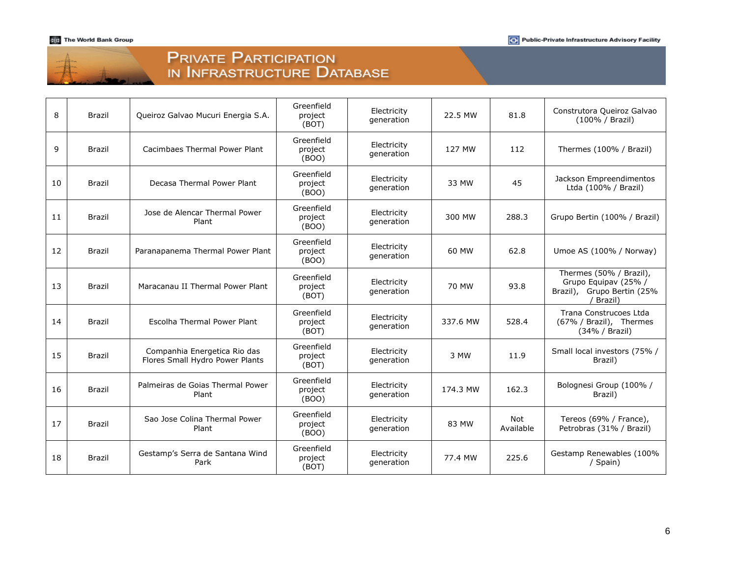# PRIVATE PARTICIPATION<br>IN INFRASTRUCTURE DATABASE

| 8  | <b>Brazil</b> | Queiroz Galvao Mucuri Energia S.A.                              | Greenfield<br>project<br>(BOT) | Electricity<br>generation | 22.5 MW  | 81.8             | Construtora Queiroz Galvao<br>(100% / Brazil)                                            |
|----|---------------|-----------------------------------------------------------------|--------------------------------|---------------------------|----------|------------------|------------------------------------------------------------------------------------------|
| 9  | <b>Brazil</b> | Cacimbaes Thermal Power Plant                                   | Greenfield<br>project<br>(BOO) | Electricity<br>generation | 127 MW   | 112              | Thermes (100% / Brazil)                                                                  |
| 10 | Brazil        | Decasa Thermal Power Plant                                      | Greenfield<br>project<br>(BOO) | Electricity<br>generation | 33 MW    | 45               | Jackson Empreendimentos<br>Ltda (100% / Brazil)                                          |
| 11 | <b>Brazil</b> | Jose de Alencar Thermal Power<br>Plant                          | Greenfield<br>project<br>(BOO) | Electricity<br>generation | 300 MW   | 288.3            | Grupo Bertin (100% / Brazil)                                                             |
| 12 | <b>Brazil</b> | Paranapanema Thermal Power Plant                                | Greenfield<br>project<br>(BOO) | Electricity<br>generation | 60 MW    | 62.8             | Umoe AS (100% / Norway)                                                                  |
| 13 | <b>Brazil</b> | Maracanau II Thermal Power Plant                                | Greenfield<br>project<br>(BOT) | Electricity<br>generation | 70 MW    | 93.8             | Thermes (50% / Brazil),<br>Grupo Equipav (25% /<br>Brazil), Grupo Bertin (25%<br>Brazil) |
| 14 | <b>Brazil</b> | Escolha Thermal Power Plant                                     | Greenfield<br>project<br>(BOT) | Electricity<br>generation | 337.6 MW | 528.4            | Trana Construcoes Ltda<br>(67% / Brazil), Thermes<br>(34% / Brazil)                      |
| 15 | <b>Brazil</b> | Companhia Energetica Rio das<br>Flores Small Hydro Power Plants | Greenfield<br>project<br>(BOT) | Electricity<br>generation | 3 MW     | 11.9             | Small local investors (75% /<br>Brazil)                                                  |
| 16 | <b>Brazil</b> | Palmeiras de Goias Thermal Power<br>Plant                       | Greenfield<br>project<br>(BOO) | Electricity<br>generation | 174.3 MW | 162.3            | Bolognesi Group (100% /<br>Brazil)                                                       |
| 17 | Brazil        | Sao Jose Colina Thermal Power<br>Plant                          | Greenfield<br>project<br>(BOO) | Electricity<br>generation | 83 MW    | Not<br>Available | Tereos (69% / France),<br>Petrobras (31% / Brazil)                                       |
| 18 | Brazil        | Gestamp's Serra de Santana Wind<br>Park                         | Greenfield<br>project<br>(BOT) | Electricity<br>generation | 77.4 MW  | 225.6            | Gestamp Renewables (100%<br>/ Spain)                                                     |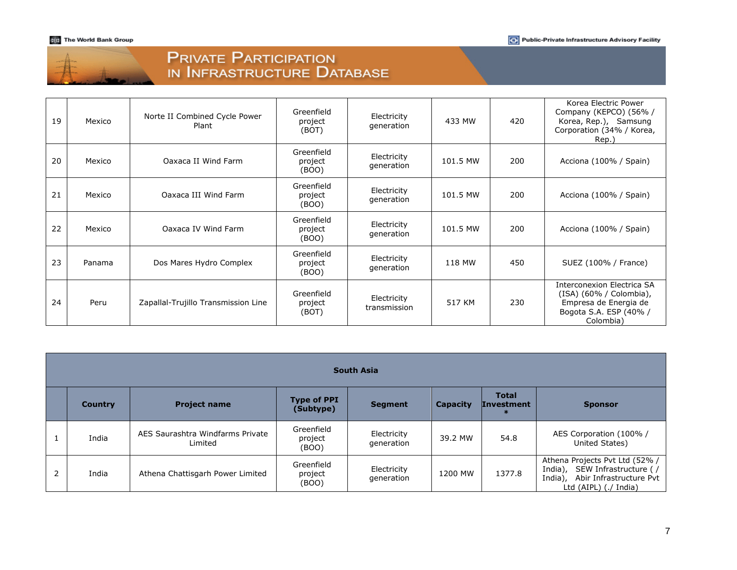# PRIVATE PARTICIPATION<br>IN INFRASTRUCTURE DATABASE

| 19 | Mexico | Norte II Combined Cycle Power<br>Plant | Greenfield<br>project<br>(BOT) | Electricity<br>generation   | 433 MW   | 420 | Korea Electric Power<br>Company (KEPCO) (56%/<br>Korea, Rep.), Samsung<br>Corporation (34% / Korea,<br>Rep.)                 |
|----|--------|----------------------------------------|--------------------------------|-----------------------------|----------|-----|------------------------------------------------------------------------------------------------------------------------------|
| 20 | Mexico | Oaxaca II Wind Farm                    | Greenfield<br>project<br>(BOO) | Electricity<br>generation   | 101.5 MW | 200 | Acciona (100% / Spain)                                                                                                       |
| 21 | Mexico | Oaxaca III Wind Farm                   | Greenfield<br>project<br>(BOO) | Electricity<br>generation   | 101.5 MW | 200 | Acciona (100% / Spain)                                                                                                       |
| 22 | Mexico | Oaxaca IV Wind Farm                    | Greenfield<br>project<br>(BOO) | Electricity<br>generation   | 101.5 MW | 200 | Acciona (100% / Spain)                                                                                                       |
| 23 | Panama | Dos Mares Hydro Complex                | Greenfield<br>project<br>(BOO) | Electricity<br>generation   | 118 MW   | 450 | SUEZ (100% / France)                                                                                                         |
| 24 | Peru   | Zapallal-Trujillo Transmission Line    | Greenfield<br>project<br>(BOT) | Electricity<br>transmission | 517 KM   | 230 | <b>Interconexion Electrica SA</b><br>(ISA) (60% / Colombia),<br>Empresa de Energia de<br>Bogota S.A. ESP (40% /<br>Colombia) |

|   | <b>South Asia</b> |                                             |                                 |                           |                 |                                   |                                                                                                                                   |  |  |
|---|-------------------|---------------------------------------------|---------------------------------|---------------------------|-----------------|-----------------------------------|-----------------------------------------------------------------------------------------------------------------------------------|--|--|
|   | <b>Country</b>    | <b>Project name</b>                         | <b>Type of PPI</b><br>(Subtype) | <b>Segment</b>            | <b>Capacity</b> | <b>Total</b><br><b>Investment</b> | <b>Sponsor</b>                                                                                                                    |  |  |
|   | India             | AES Saurashtra Windfarms Private<br>Limited | Greenfield<br>project<br>(BOO)  | Electricity<br>generation | 39.2 MW         | 54.8                              | AES Corporation (100% /<br>United States)                                                                                         |  |  |
| 2 | India             | Athena Chattisgarh Power Limited            | Greenfield<br>project<br>(BOO)  | Electricity<br>generation | 1200 MW         | 1377.8                            | Athena Projects Pvt Ltd (52% /<br>SEW Infrastructure (/<br>India),<br>India),<br>Abir Infrastructure Pvt<br>Ltd (AIPL) (./ India) |  |  |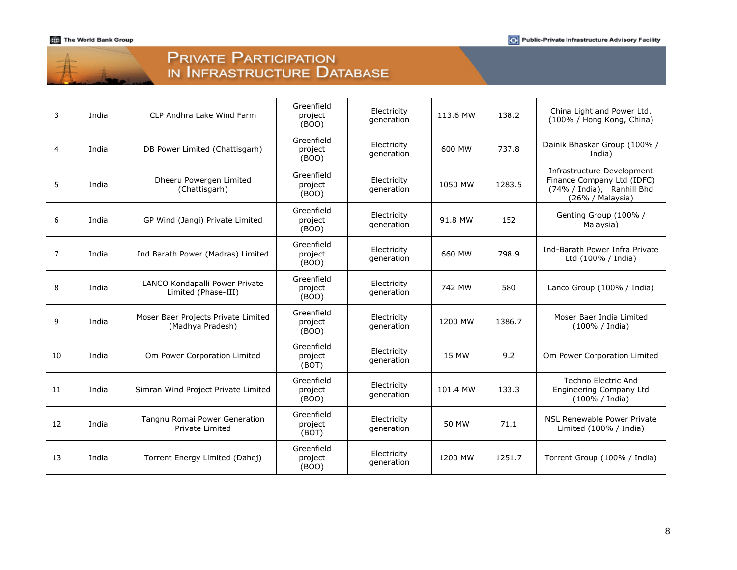| <b>PRIVATE PARTICIPATION</b> |
|------------------------------|
| IN INFRASTRUCTURE DATABASE   |

| 3              | India | CLP Andhra Lake Wind Farm                               | Greenfield<br>project<br>(BOO) | Electricity<br>generation | 113.6 MW | 138.2  | China Light and Power Ltd.<br>(100% / Hong Kong, China)                                                    |
|----------------|-------|---------------------------------------------------------|--------------------------------|---------------------------|----------|--------|------------------------------------------------------------------------------------------------------------|
| 4              | India | DB Power Limited (Chattisgarh)                          | Greenfield<br>project<br>(BOO) | Electricity<br>generation | 600 MW   | 737.8  | Dainik Bhaskar Group (100% /<br>India)                                                                     |
| 5              | India | Dheeru Powergen Limited<br>(Chattisgarh)                | Greenfield<br>project<br>(BOO) | Electricity<br>generation | 1050 MW  | 1283.5 | Infrastructure Development<br>Finance Company Ltd (IDFC)<br>(74% / India), Ranhill Bhd<br>(26% / Malaysia) |
| 6              | India | GP Wind (Jangi) Private Limited                         | Greenfield<br>project<br>(BOO) | Electricity<br>generation | 91.8 MW  | 152    | Genting Group (100% /<br>Malaysia)                                                                         |
| $\overline{7}$ | India | Ind Barath Power (Madras) Limited                       | Greenfield<br>project<br>(BOO) | Electricity<br>generation | 660 MW   | 798.9  | Ind-Barath Power Infra Private<br>Ltd (100% / India)                                                       |
| 8              | India | LANCO Kondapalli Power Private<br>Limited (Phase-III)   | Greenfield<br>project<br>(BOO) | Electricity<br>generation | 742 MW   | 580    | Lanco Group (100% / India)                                                                                 |
| 9              | India | Moser Baer Projects Private Limited<br>(Madhya Pradesh) | Greenfield<br>project<br>(BOO) | Electricity<br>generation | 1200 MW  | 1386.7 | Moser Baer India Limited<br>(100% / India)                                                                 |
| 10             | India | Om Power Corporation Limited                            | Greenfield<br>project<br>(BOT) | Electricity<br>generation | 15 MW    | 9.2    | Om Power Corporation Limited                                                                               |
| 11             | India | Simran Wind Project Private Limited                     | Greenfield<br>project<br>(BOO) | Electricity<br>generation | 101.4 MW | 133.3  | Techno Electric And<br>Engineering Company Ltd<br>(100% / India)                                           |
| 12             | India | Tangnu Romai Power Generation<br>Private Limited        | Greenfield<br>project<br>(BOT) | Electricity<br>generation | 50 MW    | 71.1   | NSL Renewable Power Private<br>Limited (100% / India)                                                      |
| 13             | India | Torrent Energy Limited (Dahej)                          | Greenfield<br>project<br>(BOO) | Electricity<br>generation | 1200 MW  | 1251.7 | Torrent Group (100% / India)                                                                               |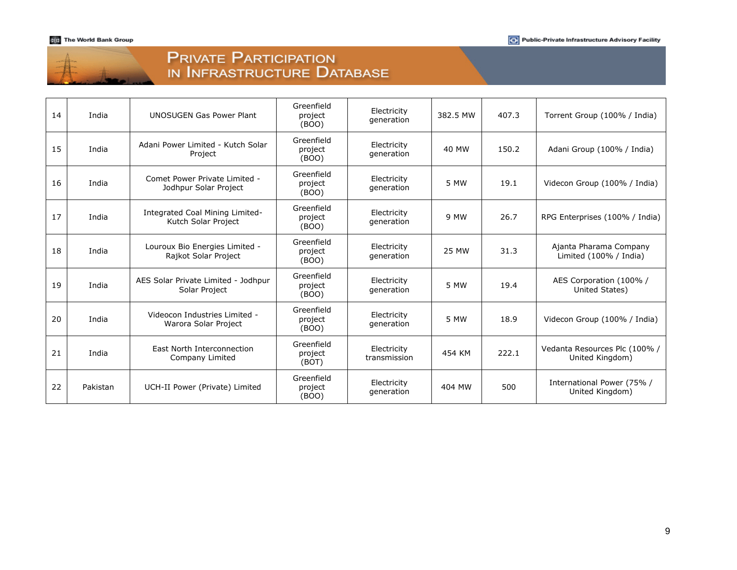| $-1$ |  |
|------|--|
|      |  |
|      |  |
|      |  |

# Private Participation<br>in Infrastructure Database

| 14 | India    | <b>UNOSUGEN Gas Power Plant</b>                        | Greenfield<br>project<br>(BOO) | Electricity<br>generation   | 382.5 MW     | 407.3 | Torrent Group (100% / India)                     |
|----|----------|--------------------------------------------------------|--------------------------------|-----------------------------|--------------|-------|--------------------------------------------------|
| 15 | India    | Adani Power Limited - Kutch Solar<br>Project           | Greenfield<br>project<br>(BOO) | Electricity<br>generation   | 40 MW        | 150.2 | Adani Group (100% / India)                       |
| 16 | India    | Comet Power Private Limited -<br>Jodhpur Solar Project | Greenfield<br>project<br>(BOO) | Electricity<br>generation   | 5 MW         | 19.1  | Videcon Group (100% / India)                     |
| 17 | India    | Integrated Coal Mining Limited-<br>Kutch Solar Project | Greenfield<br>project<br>(BOO) | Electricity<br>generation   | 9 MW         | 26.7  | RPG Enterprises (100% / India)                   |
| 18 | India    | Louroux Bio Energies Limited -<br>Rajkot Solar Project | Greenfield<br>project<br>(BOO) | Electricity<br>generation   | <b>25 MW</b> | 31.3  | Ajanta Pharama Company<br>Limited (100% / India) |
| 19 | India    | AES Solar Private Limited - Jodhpur<br>Solar Project   | Greenfield<br>project<br>(BOO) | Electricity<br>generation   | 5 MW         | 19.4  | AES Corporation (100% /<br>United States)        |
| 20 | India    | Videocon Industries Limited -<br>Warora Solar Project  | Greenfield<br>project<br>(BOO) | Electricity<br>generation   | 5 MW         | 18.9  | Videcon Group (100% / India)                     |
| 21 | India    | East North Interconnection<br>Company Limited          | Greenfield<br>project<br>(BOT) | Electricity<br>transmission | 454 KM       | 222.1 | Vedanta Resources Plc (100% /<br>United Kingdom) |
| 22 | Pakistan | UCH-II Power (Private) Limited                         | Greenfield<br>project<br>(BOO) | Electricity<br>generation   | 404 MW       | 500   | International Power (75% /<br>United Kingdom)    |